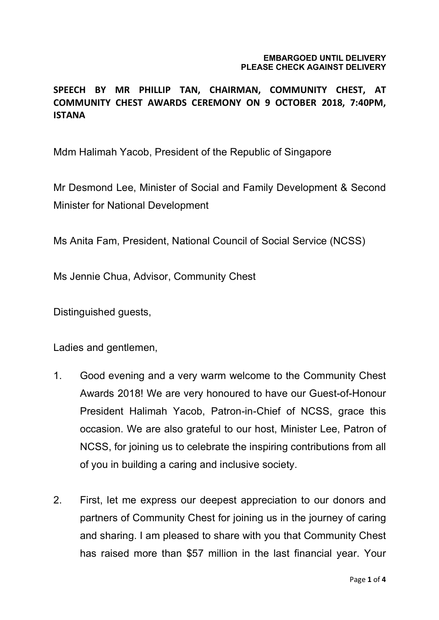## **EMBARGOED UNTIL DELIVERY PLEASE CHECK AGAINST DELIVERY**

## **SPEECH BY MR PHILLIP TAN, CHAIRMAN, COMMUNITY CHEST, AT COMMUNITY CHEST AWARDS CEREMONY ON 9 OCTOBER 2018, 7:40PM, ISTANA**

Mdm Halimah Yacob, President of the Republic of Singapore

Mr Desmond Lee, Minister of Social and Family Development & Second Minister for National Development

Ms Anita Fam, President, National Council of Social Service (NCSS)

Ms Jennie Chua, Advisor, Community Chest

Distinguished guests,

Ladies and gentlemen,

- 1. Good evening and a very warm welcome to the Community Chest Awards 2018! We are very honoured to have our Guest-of-Honour President Halimah Yacob, Patron-in-Chief of NCSS, grace this occasion. We are also grateful to our host, Minister Lee, Patron of NCSS, for joining us to celebrate the inspiring contributions from all of you in building a caring and inclusive society.
- 2. First, let me express our deepest appreciation to our donors and partners of Community Chest for joining us in the journey of caring and sharing. I am pleased to share with you that Community Chest has raised more than \$57 million in the last financial year. Your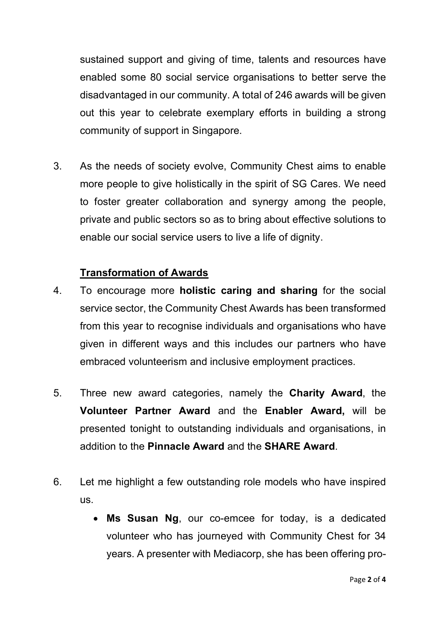sustained support and giving of time, talents and resources have enabled some 80 social service organisations to better serve the disadvantaged in our community. A total of 246 awards will be given out this year to celebrate exemplary efforts in building a strong community of support in Singapore.

3. As the needs of society evolve, Community Chest aims to enable more people to give holistically in the spirit of SG Cares. We need to foster greater collaboration and synergy among the people, private and public sectors so as to bring about effective solutions to enable our social service users to live a life of dignity.

## **Transformation of Awards**

- 4. To encourage more **holistic caring and sharing** for the social service sector, the Community Chest Awards has been transformed from this year to recognise individuals and organisations who have given in different ways and this includes our partners who have embraced volunteerism and inclusive employment practices.
- 5. Three new award categories, namely the **Charity Award**, the **Volunteer Partner Award** and the **Enabler Award,** will be presented tonight to outstanding individuals and organisations, in addition to the **Pinnacle Award** and the **SHARE Award**.
- 6. Let me highlight a few outstanding role models who have inspired us.
	- **Ms Susan Ng**, our co-emcee for today, is a dedicated volunteer who has journeyed with Community Chest for 34 years. A presenter with Mediacorp, she has been offering pro-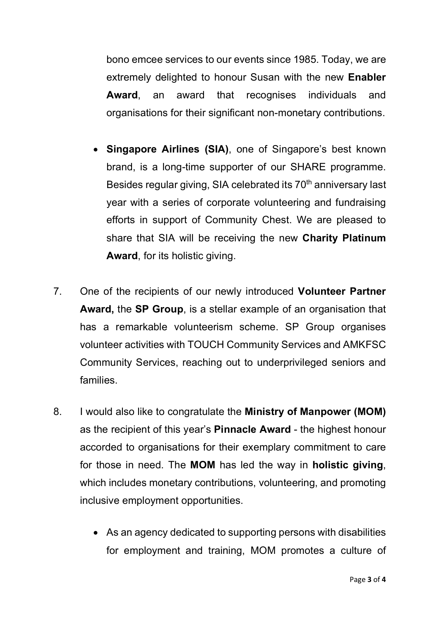bono emcee services to our events since 1985. Today, we are extremely delighted to honour Susan with the new **Enabler Award**, an award that recognises individuals and organisations for their significant non-monetary contributions.

- **Singapore Airlines (SIA)**, one of Singapore's best known brand, is a long-time supporter of our SHARE programme. Besides regular giving, SIA celebrated its 70<sup>th</sup> anniversary last year with a series of corporate volunteering and fundraising efforts in support of Community Chest. We are pleased to share that SIA will be receiving the new **Charity Platinum Award**, for its holistic giving.
- 7. One of the recipients of our newly introduced **Volunteer Partner Award,** the **SP Group**, is a stellar example of an organisation that has a remarkable volunteerism scheme. SP Group organises volunteer activities with TOUCH Community Services and AMKFSC Community Services, reaching out to underprivileged seniors and families.
- 8. I would also like to congratulate the **Ministry of Manpower (MOM)** as the recipient of this year's **Pinnacle Award** - the highest honour accorded to organisations for their exemplary commitment to care for those in need. The **MOM** has led the way in **holistic giving**, which includes monetary contributions, volunteering, and promoting inclusive employment opportunities.
	- As an agency dedicated to supporting persons with disabilities for employment and training, MOM promotes a culture of